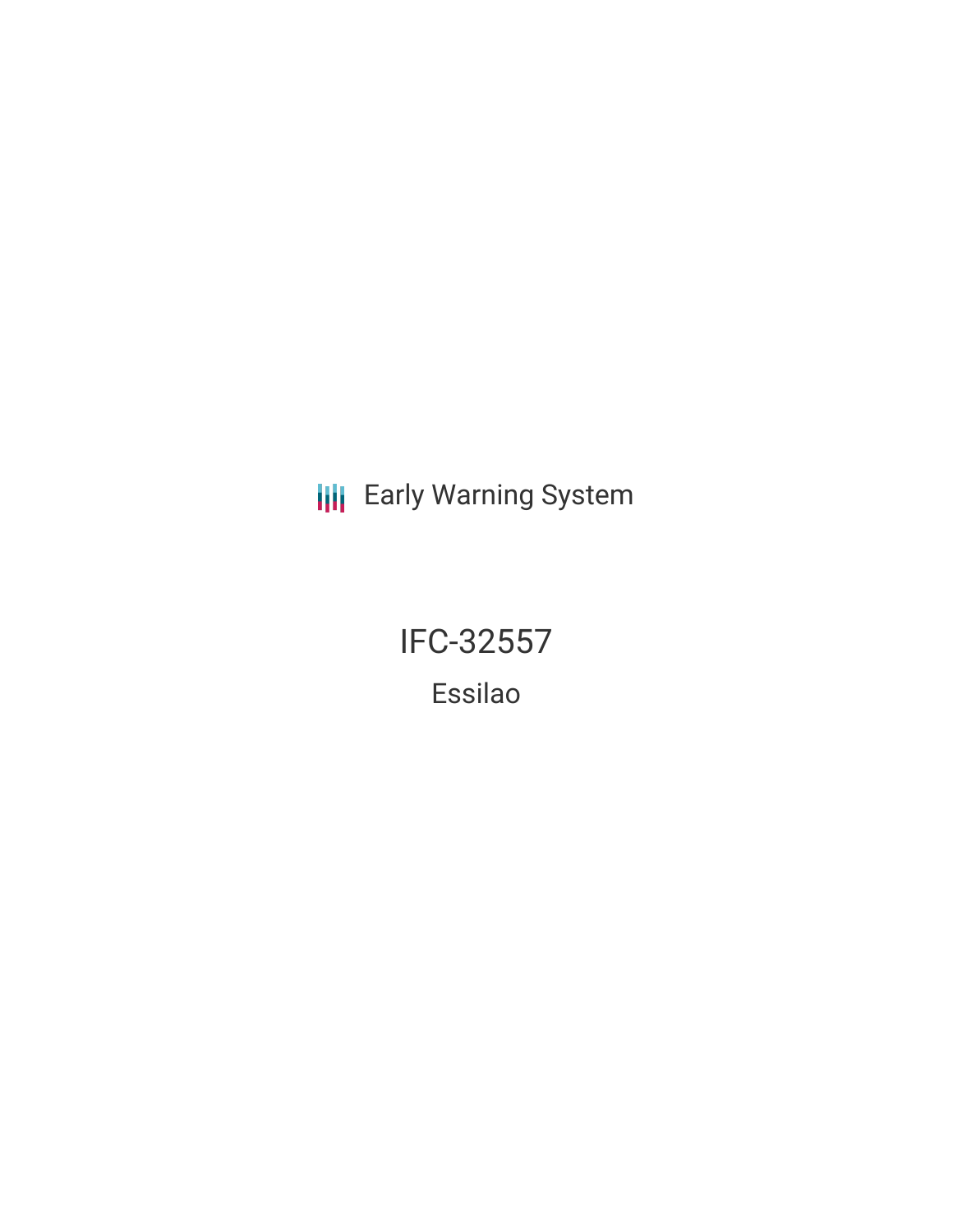**III** Early Warning System

**IFC-32557** Essilao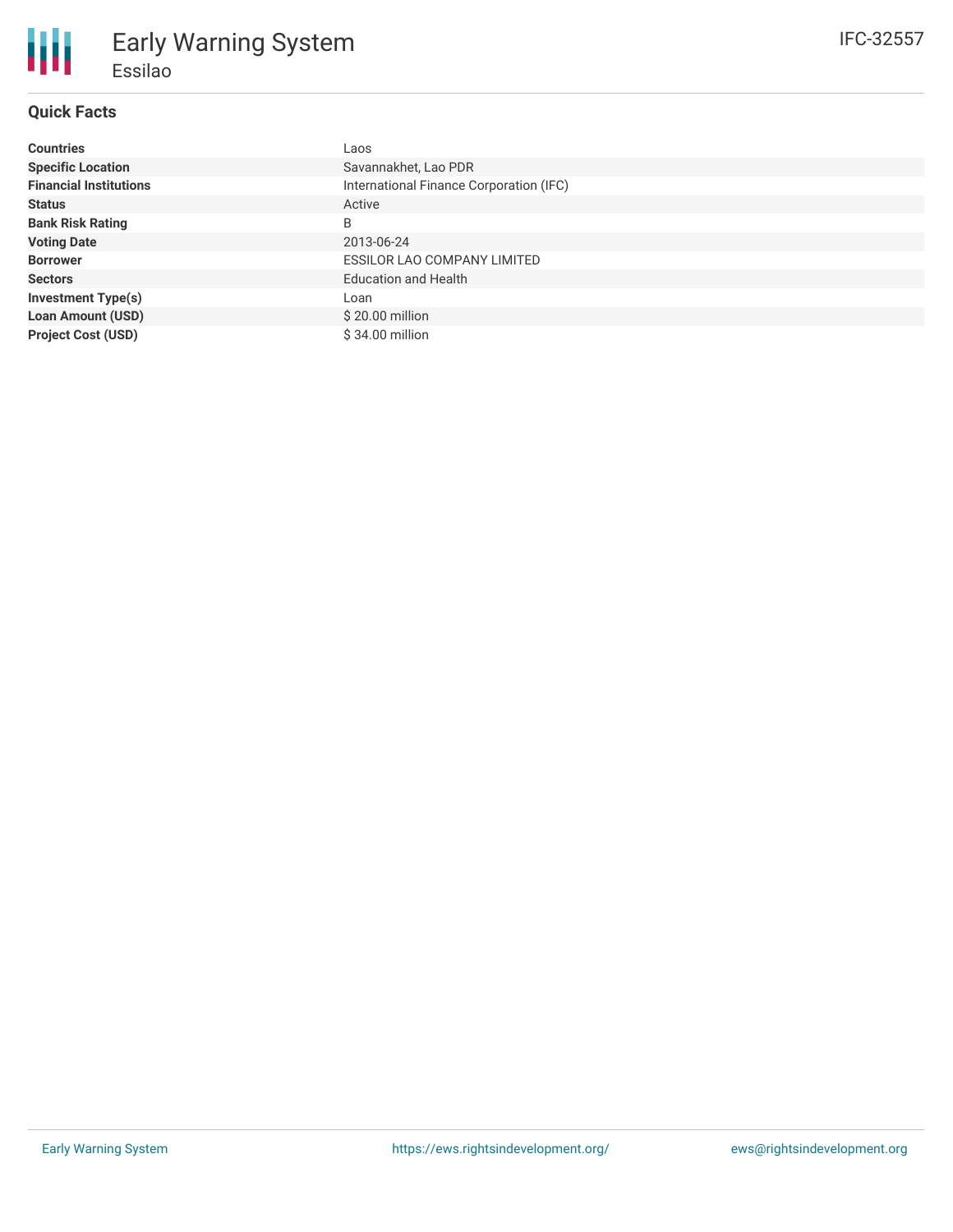# **Quick Facts**

朋

| <b>Countries</b>              | Laos                                    |
|-------------------------------|-----------------------------------------|
| <b>Specific Location</b>      | Savannakhet, Lao PDR                    |
| <b>Financial Institutions</b> | International Finance Corporation (IFC) |
| <b>Status</b>                 | Active                                  |
| <b>Bank Risk Rating</b>       | B                                       |
| <b>Voting Date</b>            | 2013-06-24                              |
| <b>Borrower</b>               | ESSILOR LAO COMPANY LIMITED             |
| <b>Sectors</b>                | <b>Education and Health</b>             |
| <b>Investment Type(s)</b>     | Loan                                    |
| <b>Loan Amount (USD)</b>      | $$20.00$ million                        |
| <b>Project Cost (USD)</b>     | $$34.00$ million                        |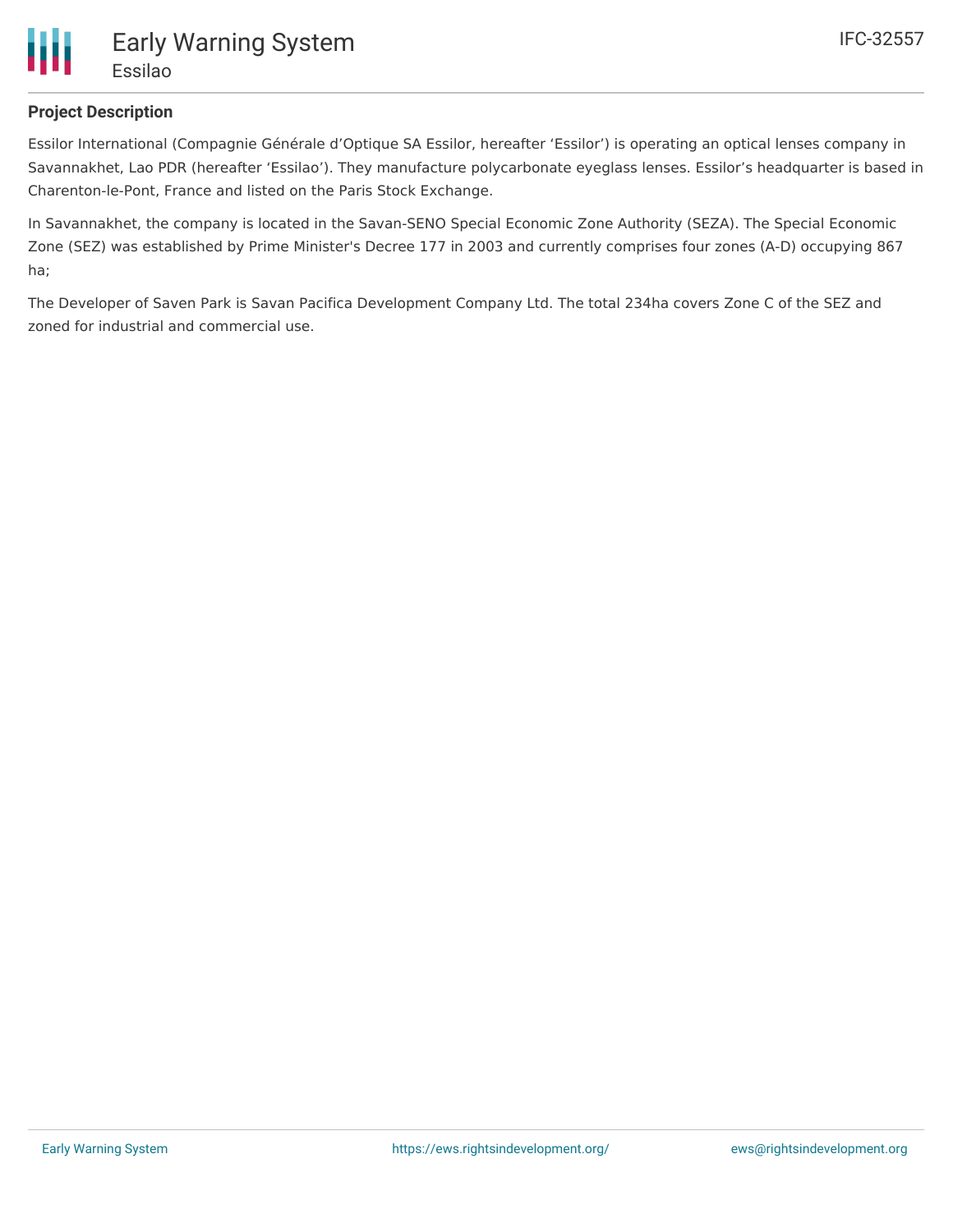

## **Project Description**

Essilor International (Compagnie Générale d'Optique SA Essilor, hereafter 'Essilor') is operating an optical lenses company in Savannakhet, Lao PDR (hereafter 'Essilao'). They manufacture polycarbonate eyeglass lenses. Essilor's headquarter is based in Charenton-le-Pont, France and listed on the Paris Stock Exchange.

In Savannakhet, the company is located in the Savan-SENO Special Economic Zone Authority (SEZA). The Special Economic Zone (SEZ) was established by Prime Minister's Decree 177 in 2003 and currently comprises four zones (A-D) occupying 867 ha;

The Developer of Saven Park is Savan Pacifica Development Company Ltd. The total 234ha covers Zone C of the SEZ and zoned for industrial and commercial use.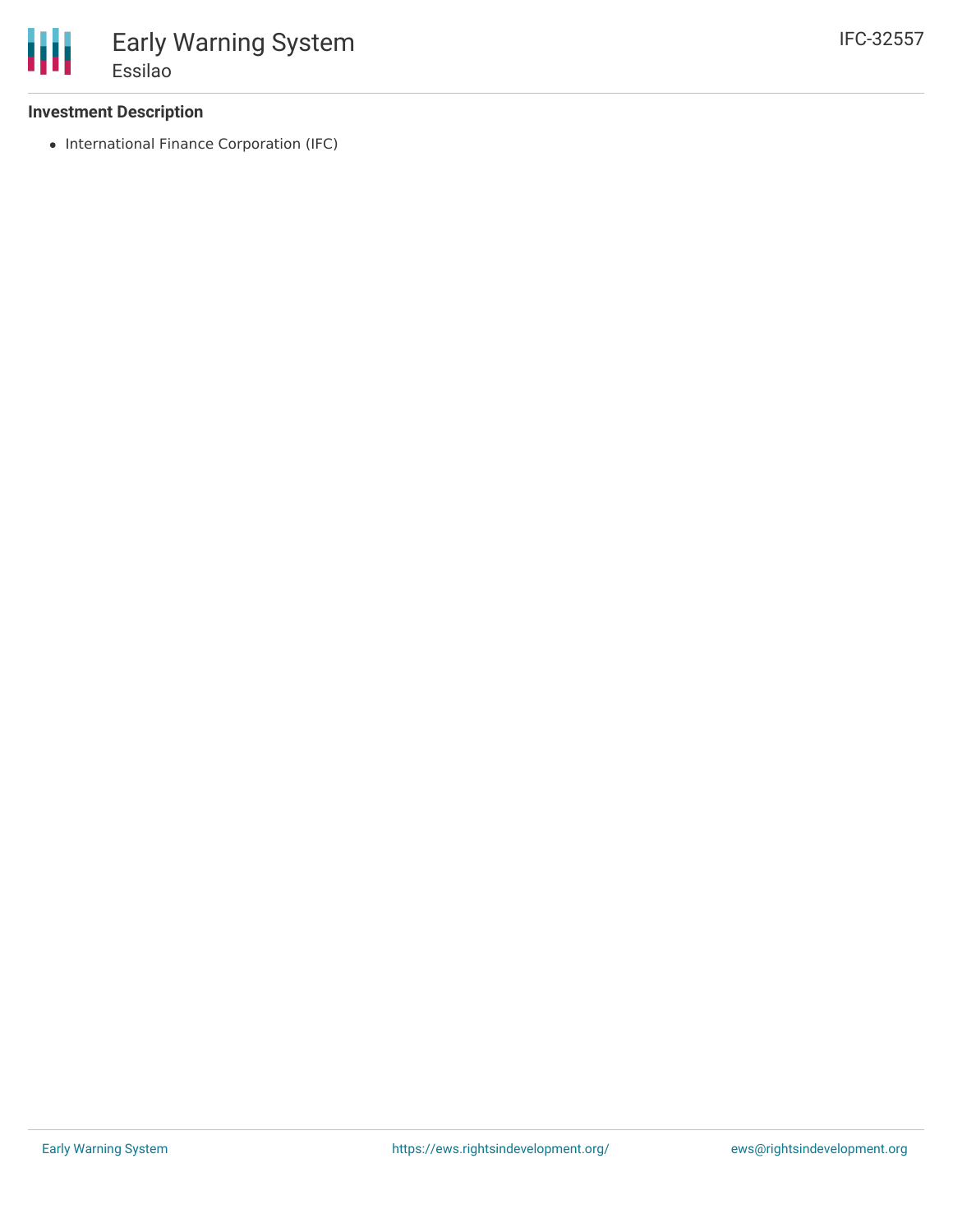### **Investment Description**

• International Finance Corporation (IFC)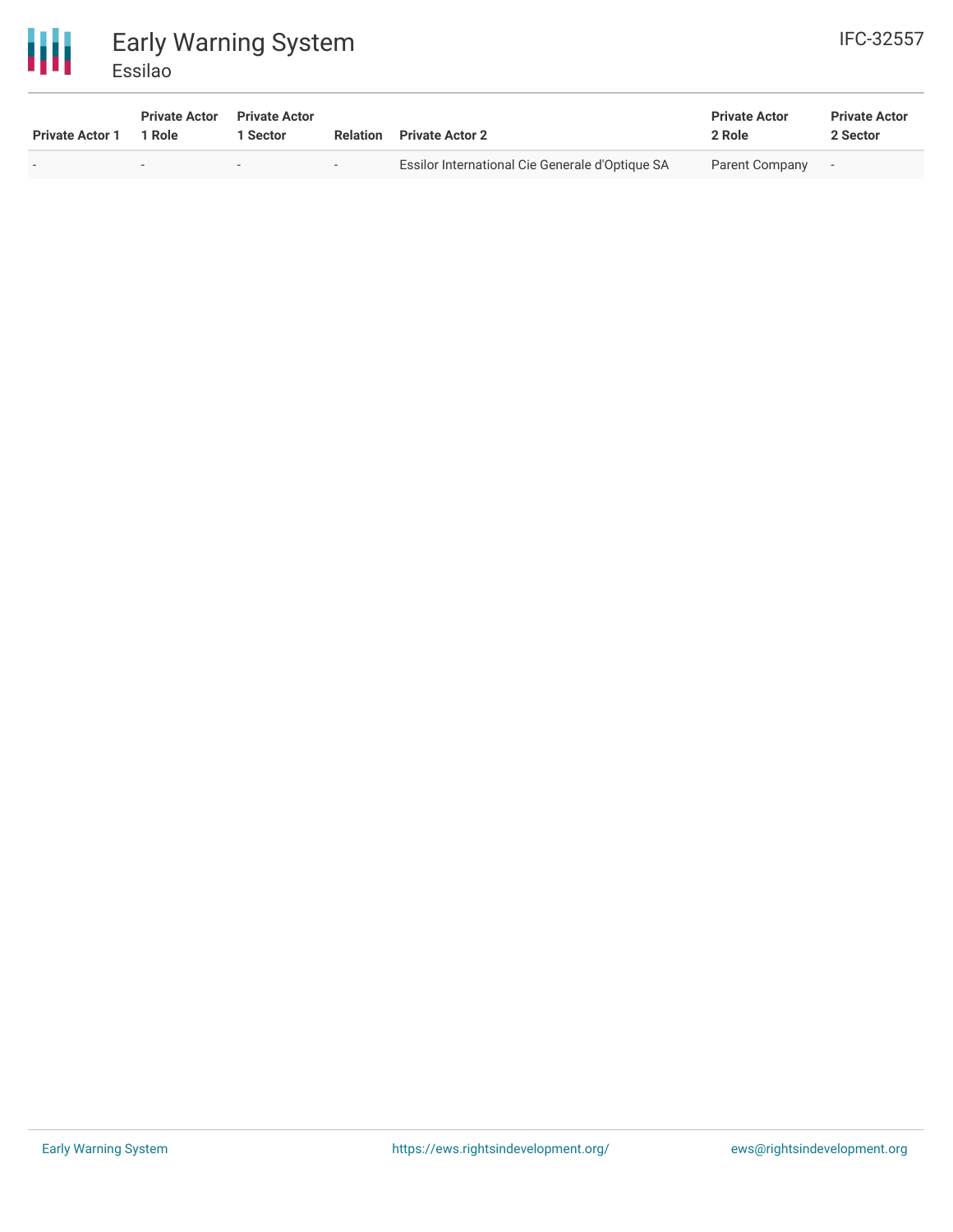

| <b>Private Actor 1</b> | <b>Private Actor</b><br>1 Role | <b>Private Actor</b><br><sup>1</sup> Sector | Relation | <b>Private Actor 2</b>                          | <b>Private Actor</b><br>2 Role | <b>Private Actor</b><br>2 Sector |
|------------------------|--------------------------------|---------------------------------------------|----------|-------------------------------------------------|--------------------------------|----------------------------------|
|                        | $\overline{\phantom{a}}$       | $\overline{\phantom{a}}$                    | $\sim$   | Essilor International Cie Generale d'Optique SA | Parent Company                 | $\overline{\phantom{a}}$         |